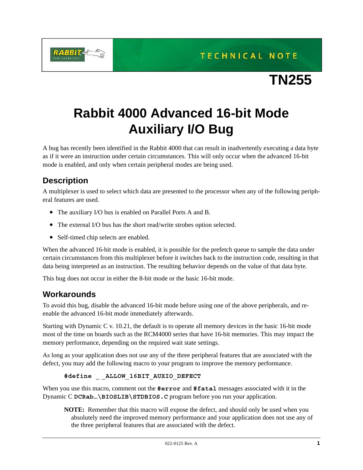**TECHNICAL NOTE** 



## **Rabbit 4000 Advanced 16-bit Mode Auxiliary I/O Bug**

A bug has recently been identified in the Rabbit 4000 that can result in inadvertently executing a data byte as if it were an instruction under certain circumstances. This will only occur when the advanced 16-bit mode is enabled, and only when certain peripheral modes are being used.

## **Description**

A multiplexer is used to select which data are presented to the processor when any of the following peripheral features are used.

- The auxiliary I/O bus is enabled on Parallel Ports A and B.
- The external I/O bus has the short read/write strobes option selected.
- Self-timed chip selects are enabled.

When the advanced 16-bit mode is enabled, it is possible for the prefetch queue to sample the data under certain circumstances from this multiplexer before it switches back to the instruction code, resulting in that data being interpreted as an instruction. The resulting behavior depends on the value of that data byte.

This bug does not occur in either the 8-bit mode or the basic 16-bit mode.

## **Workarounds**

To avoid this bug, disable the advanced 16-bit mode before using one of the above peripherals, and reenable the advanced 16-bit mode immediately afterwards.

Starting with Dynamic C v. 10.21, the default is to operate all memory devices in the basic 16-bit mode most of the time on boards such as the RCM4000 series that have 16-bit memories. This may impact the memory performance, depending on the required wait state settings.

As long as your application does not use any of the three peripheral features that are associated with the defect, you may add the following macro to your program to improve the memory performance.

```
#define _ _ALLOW_16BIT_AUXIO_DEFECT
```
When you use this macro, comment out the **#error** and **#fatal** messages associated with it in the Dynamic C **DCRab…\BIOSLIB\STDBIOS.C** program before you run your application.

**NOTE:** Remember that this macro will expose the defect, and should only be used when you absolutely need the improved memory performance and your application does not use any of the three peripheral features that are associated with the defect.